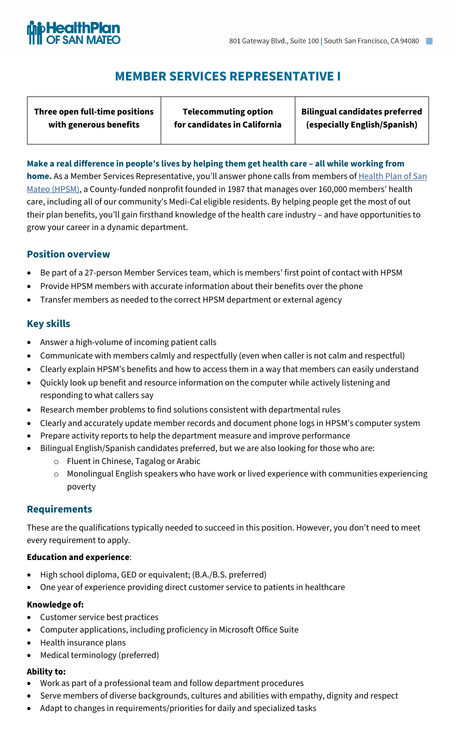

# **MEMBER SERVICES REPRESENTATIVE I**

**Three open full-time positions with generous benefits**

**Telecommuting option for candidates in California** **Bilingual candidates preferred (especially English/Spanish)**

### **Make a real difference in people's lives by helping them get health care – all while working from**

**home.** As a Member Services Representative, you'll answer phone calls from members of Health Plan of San [Mateo \(HPSM\)](https://www.hpsm.org/), a County-funded nonprofit founded in 1987 that manages over 160,000 members' health care, including all of our community's Medi-Cal eligible residents. By helping people get the most of out their plan benefits, you'll gain firsthand knowledge of the health care industry – and have opportunities to grow your career in a dynamic department.

## **Position overview**

- Be part of a 27-person Member Services team, which is members' first point of contact with HPSM
- Provide HPSM members with accurate information about their benefits over the phone
- Transfer members as needed to the correct HPSM department or external agency

## **Key skills**

- Answer a high-volume of incoming patient calls
- Communicate with members calmly and respectfully (even when caller is not calm and respectful)
- Clearly explain HPSM's benefits and how to access them in a way that members can easily understand
- Quickly look up benefit and resource information on the computer while actively listening and responding to what callers say
- Research member problems to find solutions consistent with departmental rules
- Clearly and accurately update member records and document phone logs in HPSM's computer system
- Prepare activity reports to help the department measure and improve performance
- Bilingual English/Spanish candidates preferred, but we are also looking for those who are:
	- o Fluent in Chinese, Tagalog or Arabic
	- o Monolingual English speakers who have work or lived experience with communities experiencing poverty

## **Requirements**

These are the qualifications typically needed to succeed in this position. However, you don't need to meet every requirement to apply.

#### **Education and experience**:

- High school diploma, GED or equivalent; (B.A./B.S. preferred)
- One year of experience providing direct customer service to patients in healthcare

#### **Knowledge of:**

- Customer service best practices
- Computer applications, including proficiency in Microsoft Office Suite
- Health insurance plans
- Medical terminology (preferred)

#### **Ability to:**

- Work as part of a professional team and follow department procedures
- Serve members of diverse backgrounds, cultures and abilities with empathy, dignity and respect
- Adapt to changes in requirements/priorities for daily and specialized tasks